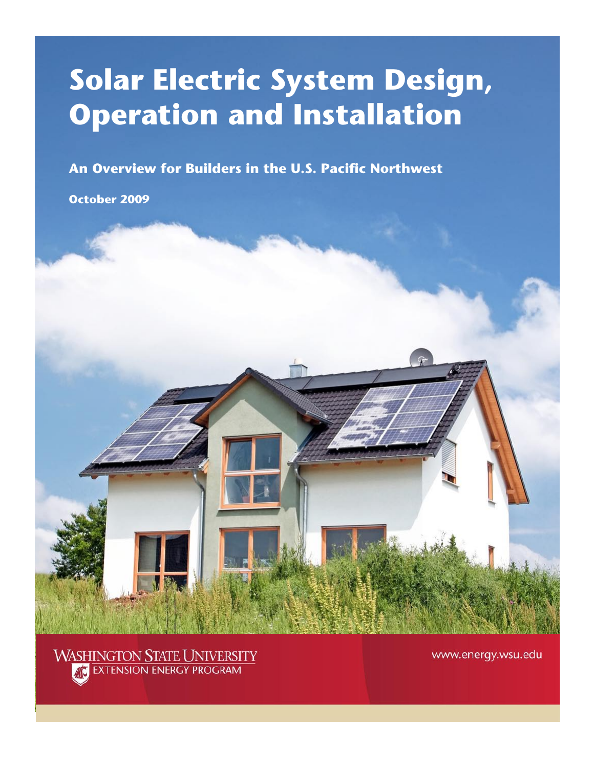# **Solar Electric System Design, Operation and Installation**

**An Overview for Builders in the U.S. Pacific Northwest**

**October 2009**



www.energy.wsu.edu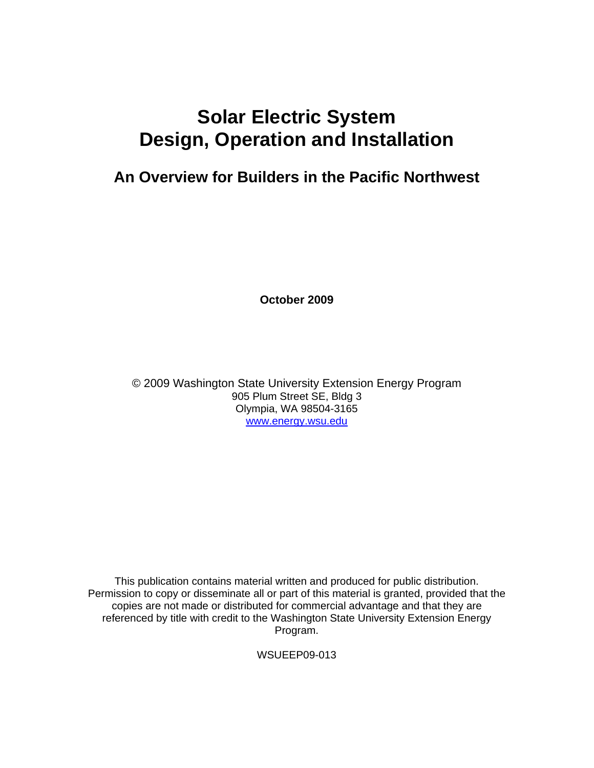# **Solar Electric System Design, Operation and Installation**

## **An Overview for Builders in the Pacific Northwest**

**October 2009** 

© 2009 Washington State University Extension Energy Program 905 Plum Street SE, Bldg 3 Olympia, WA 98504-3165 [www.energy.wsu.edu](http://www.energy.wsu.edu/)

This publication contains material written and produced for public distribution. Permission to copy or disseminate all or part of this material is granted, provided that the copies are not made or distributed for commercial advantage and that they are referenced by title with credit to the Washington State University Extension Energy Program.

WSUEEP09-013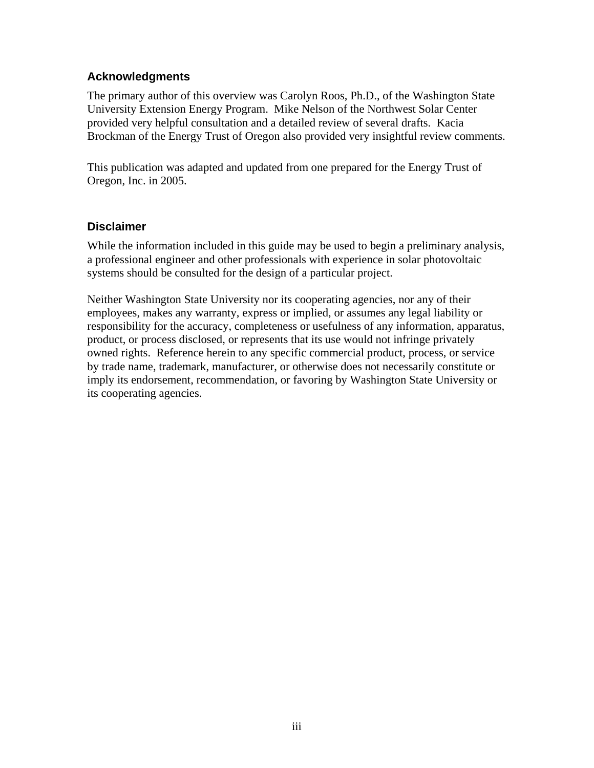#### **Acknowledgments**

The primary author of this overview was Carolyn Roos, Ph.D., of the Washington State University Extension Energy Program. Mike Nelson of the Northwest Solar Center provided very helpful consultation and a detailed review of several drafts. Kacia Brockman of the Energy Trust of Oregon also provided very insightful review comments.

This publication was adapted and updated from one prepared for the Energy Trust of Oregon, Inc. in 2005.

#### **Disclaimer**

While the information included in this guide may be used to begin a preliminary analysis, a professional engineer and other professionals with experience in solar photovoltaic systems should be consulted for the design of a particular project.

Neither Washington State University nor its cooperating agencies, nor any of their employees, makes any warranty, express or implied, or assumes any legal liability or responsibility for the accuracy, completeness or usefulness of any information, apparatus, product, or process disclosed, or represents that its use would not infringe privately owned rights. Reference herein to any specific commercial product, process, or service by trade name, trademark, manufacturer, or otherwise does not necessarily constitute or imply its endorsement, recommendation, or favoring by Washington State University or its cooperating agencies.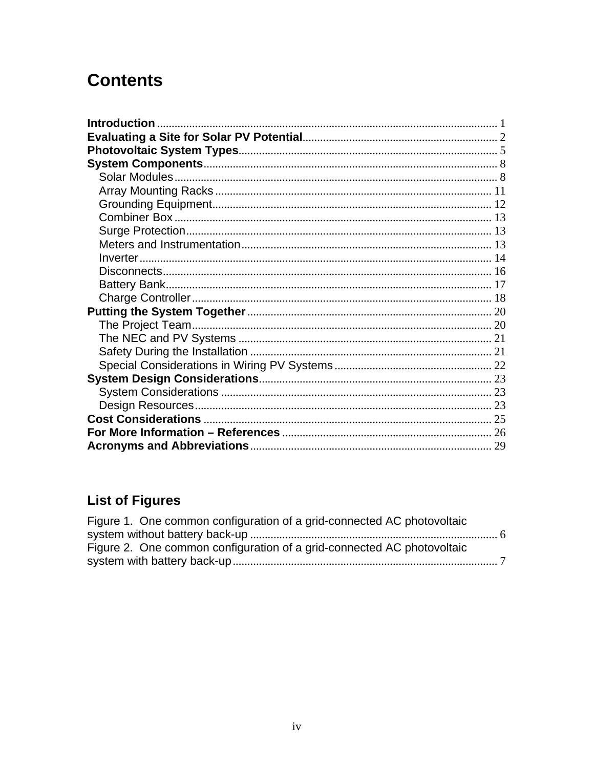# **Contents**

| Introduction |  |
|--------------|--|
|              |  |
|              |  |
|              |  |
|              |  |
|              |  |
|              |  |
|              |  |
|              |  |
|              |  |
|              |  |
|              |  |
|              |  |
|              |  |
|              |  |
|              |  |
|              |  |
|              |  |
|              |  |
|              |  |
|              |  |
|              |  |
|              |  |
|              |  |
|              |  |

# **List of Figures**

| Figure 1. One common configuration of a grid-connected AC photovoltaic |  |
|------------------------------------------------------------------------|--|
|                                                                        |  |
| Figure 2. One common configuration of a grid-connected AC photovoltaic |  |
|                                                                        |  |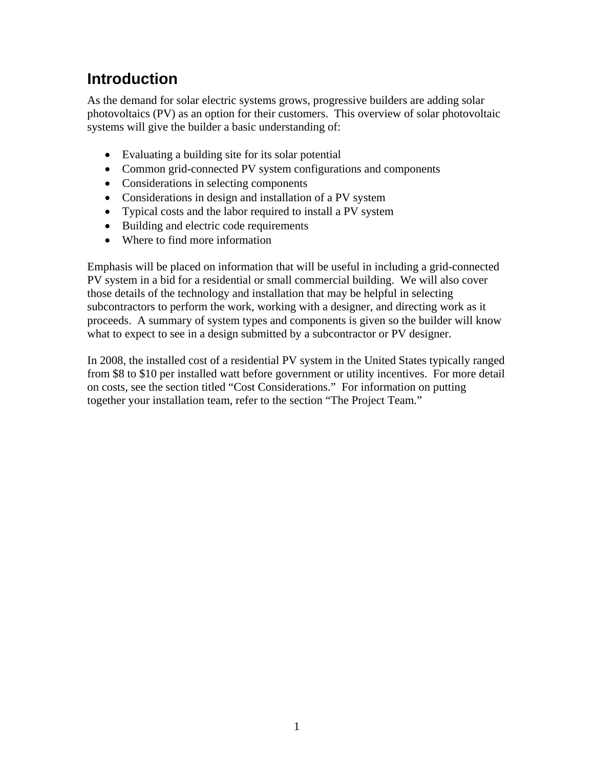## <span id="page-6-0"></span>**Introduction**

As the demand for solar electric systems grows, progressive builders are adding solar photovoltaics (PV) as an option for their customers. This overview of solar photovoltaic systems will give the builder a basic understanding of:

- Evaluating a building site for its solar potential
- Common grid-connected PV system configurations and components
- Considerations in selecting components
- Considerations in design and installation of a PV system
- Typical costs and the labor required to install a PV system
- Building and electric code requirements
- Where to find more information

Emphasis will be placed on information that will be useful in including a grid-connected PV system in a bid for a residential or small commercial building. We will also cover those details of the technology and installation that may be helpful in selecting subcontractors to perform the work, working with a designer, and directing work as it proceeds. A summary of system types and components is given so the builder will know what to expect to see in a design submitted by a subcontractor or PV designer.

In 2008, the installed cost of a residential PV system in the United States typically ranged from \$8 to \$10 per installed watt before government or utility incentives. For more detail on costs, see the section titled "Cost Considerations." For information on putting together your installation team, refer to the section "The Project Team."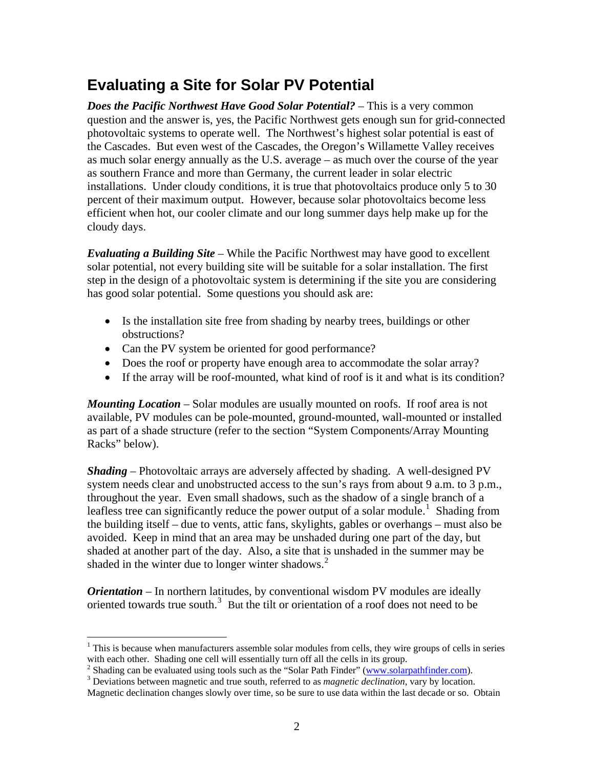## <span id="page-7-0"></span>**Evaluating a Site for Solar PV Potential**

*Does the Pacific Northwest Have Good Solar Potential?* – This is a very common question and the answer is, yes, the Pacific Northwest gets enough sun for grid-connected photovoltaic systems to operate well. The Northwest's highest solar potential is east of the Cascades. But even west of the Cascades, the Oregon's Willamette Valley receives as much solar energy annually as the U.S. average – as much over the course of the year as southern France and more than Germany, the current leader in solar electric installations. Under cloudy conditions, it is true that photovoltaics produce only 5 to 30 percent of their maximum output. However, because solar photovoltaics become less efficient when hot, our cooler climate and our long summer days help make up for the cloudy days.

*Evaluating a Building Site* – While the Pacific Northwest may have good to excellent solar potential, not every building site will be suitable for a solar installation. The first step in the design of a photovoltaic system is determining if the site you are considering has good solar potential. Some questions you should ask are:

- Is the installation site free from shading by nearby trees, buildings or other obstructions?
- Can the PV system be oriented for good performance?
- Does the roof or property have enough area to accommodate the solar array?
- If the array will be roof-mounted, what kind of roof is it and what is its condition?

*Mounting Location* – Solar modules are usually mounted on roofs. If roof area is not available, PV modules can be pole-mounted, ground-mounted, wall-mounted or installed as part of a shade structure (refer to the section "System Components/Array Mounting Racks" below).

*Shading* – Photovoltaic arrays are adversely affected by shading. A well-designed PV system needs clear and unobstructed access to the sun's rays from about 9 a.m. to 3 p.m., throughout the year. Even small shadows, such as the shadow of a single branch of a leafless tree can significantly reduce the power output of a solar module.<sup>[1](#page-7-1)</sup> Shading from the building itself – due to vents, attic fans, skylights, gables or overhangs – must also be avoided. Keep in mind that an area may be unshaded during one part of the day, but shaded at another part of the day. Also, a site that is unshaded in the summer may be shaded in the winter due to longer winter shadows.<sup>[2](#page-7-2)</sup>

*Orientation* – In northern latitudes, by conventional wisdom PV modules are ideally oriented towards true south. $3$  But the tilt or orientation of a roof does not need to be

 $\overline{a}$ 

<span id="page-7-1"></span><sup>&</sup>lt;sup>1</sup> This is because when manufacturers assemble solar modules from cells, they wire groups of cells in series with each other. Shading one cell will essentially turn off all the cells in its group.

<span id="page-7-2"></span><sup>&</sup>lt;sup>2</sup> Shading can be evaluated using tools such as the "Solar Path Finder" [\(www.solarpathfinder.com\)](http://www.solarpathfinder.com/).

<span id="page-7-3"></span>Deviations between magnetic and true south, referred to as *magnetic declination*, vary by location.

Magnetic declination changes slowly over time, so be sure to use data within the last decade or so. Obtain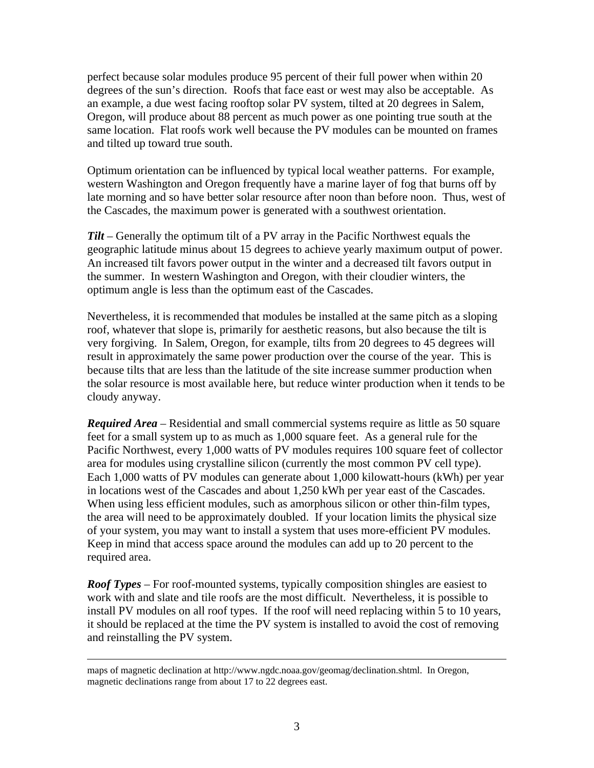perfect because solar modules produce 95 percent of their full power when within 20 degrees of the sun's direction. Roofs that face east or west may also be acceptable. As an example, a due west facing rooftop solar PV system, tilted at 20 degrees in Salem, Oregon, will produce about 88 percent as much power as one pointing true south at the same location. Flat roofs work well because the PV modules can be mounted on frames and tilted up toward true south.

Optimum orientation can be influenced by typical local weather patterns. For example, western Washington and Oregon frequently have a marine layer of fog that burns off by late morning and so have better solar resource after noon than before noon. Thus, west of the Cascades, the maximum power is generated with a southwest orientation.

*Tilt* – Generally the optimum tilt of a PV array in the Pacific Northwest equals the geographic latitude minus about 15 degrees to achieve yearly maximum output of power. An increased tilt favors power output in the winter and a decreased tilt favors output in the summer. In western Washington and Oregon, with their cloudier winters, the optimum angle is less than the optimum east of the Cascades.

Nevertheless, it is recommended that modules be installed at the same pitch as a sloping roof, whatever that slope is, primarily for aesthetic reasons, but also because the tilt is very forgiving. In Salem, Oregon, for example, tilts from 20 degrees to 45 degrees will result in approximately the same power production over the course of the year. This is because tilts that are less than the latitude of the site increase summer production when the solar resource is most available here, but reduce winter production when it tends to be cloudy anyway.

*Required Area* – Residential and small commercial systems require as little as 50 square feet for a small system up to as much as 1,000 square feet. As a general rule for the Pacific Northwest, every 1,000 watts of PV modules requires 100 square feet of collector area for modules using crystalline silicon (currently the most common PV cell type). Each 1,000 watts of PV modules can generate about 1,000 kilowatt-hours (kWh) per year in locations west of the Cascades and about 1,250 kWh per year east of the Cascades. When using less efficient modules, such as amorphous silicon or other thin-film types, the area will need to be approximately doubled. If your location limits the physical size of your system, you may want to install a system that uses more-efficient PV modules. Keep in mind that access space around the modules can add up to 20 percent to the required area.

*Roof Types* – For roof-mounted systems, typically composition shingles are easiest to work with and slate and tile roofs are the most difficult. Nevertheless, it is possible to install PV modules on all roof types. If the roof will need replacing within 5 to 10 years, it should be replaced at the time the PV system is installed to avoid the cost of removing and reinstalling the PV system.

maps of magnetic declination at http://www.ngdc.noaa.gov/geomag/declination.shtml. In Oregon, magnetic declinations range from about 17 to 22 degrees east.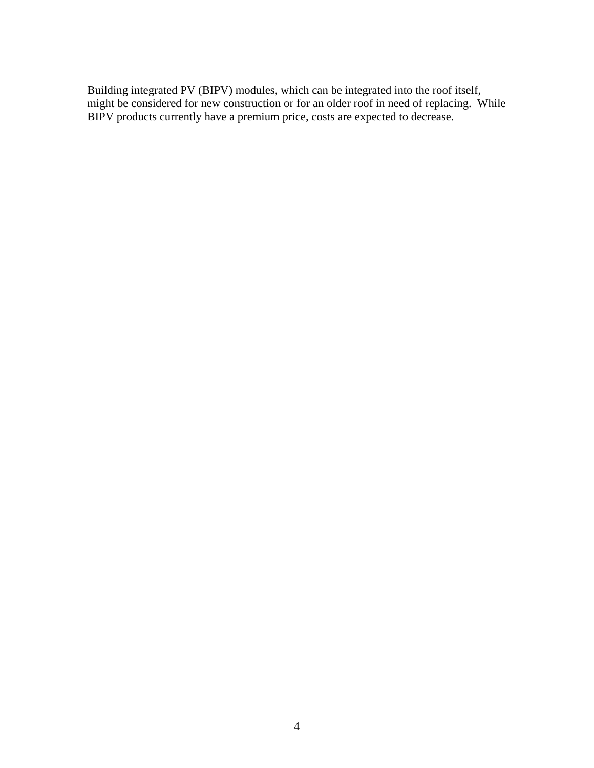Building integrated PV (BIPV) modules, which can be integrated into the roof itself, might be considered for new construction or for an older roof in need of replacing. While BIPV products currently have a premium price, costs are expected to decrease.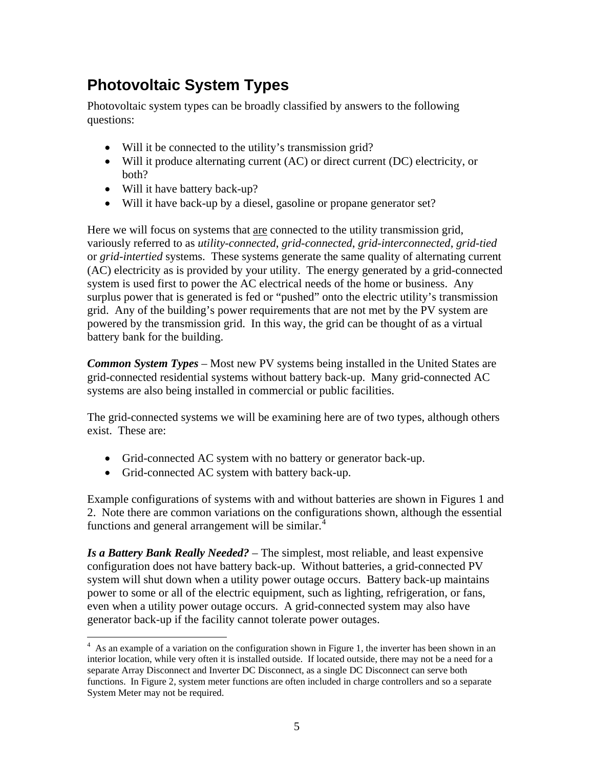## <span id="page-10-0"></span>**Photovoltaic System Types**

Photovoltaic system types can be broadly classified by answers to the following questions:

- Will it be connected to the utility's transmission grid?
- Will it produce alternating current (AC) or direct current (DC) electricity, or both?
- Will it have battery back-up?
- Will it have back-up by a diesel, gasoline or propane generator set?

Here we will focus on systems that are connected to the utility transmission grid, variously referred to as *utility-connected*, *grid-connected*, *grid-interconnected*, *grid-tied* or *grid-intertied* systems. These systems generate the same quality of alternating current (AC) electricity as is provided by your utility. The energy generated by a grid-connected system is used first to power the AC electrical needs of the home or business. Any surplus power that is generated is fed or "pushed" onto the electric utility's transmission grid. Any of the building's power requirements that are not met by the PV system are powered by the transmission grid. In this way, the grid can be thought of as a virtual battery bank for the building.

*Common System Types* – Most new PV systems being installed in the United States are grid-connected residential systems without battery back-up. Many grid-connected AC systems are also being installed in commercial or public facilities.

The grid-connected systems we will be examining here are of two types, although others exist. These are:

- Grid-connected AC system with no battery or generator back-up.
- Grid-connected AC system with battery back-up.

 $\overline{a}$ 

Example configurations of systems with and without batteries are shown in Figures 1 and 2. Note there are common variations on the configurations shown, although the essential functions and general arrangement will be similar. $4$ 

*Is a Battery Bank Really Needed?* – The simplest, most reliable, and least expensive configuration does not have battery back-up. Without batteries, a grid-connected PV system will shut down when a utility power outage occurs. Battery back-up maintains power to some or all of the electric equipment, such as lighting, refrigeration, or fans, even when a utility power outage occurs. A grid-connected system may also have generator back-up if the facility cannot tolerate power outages.

<span id="page-10-1"></span><sup>&</sup>lt;sup>4</sup> As an example of a variation on the configuration shown in Figure 1, the inverter has been shown in an interior location, while very often it is installed outside. If located outside, there may not be a need for a separate Array Disconnect and Inverter DC Disconnect, as a single DC Disconnect can serve both functions. In Figure 2, system meter functions are often included in charge controllers and so a separate System Meter may not be required.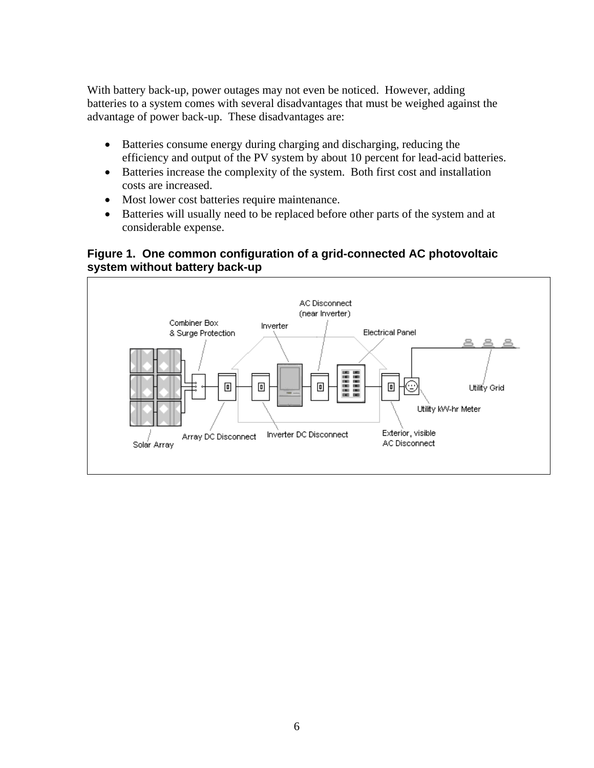<span id="page-11-0"></span>With battery back-up, power outages may not even be noticed. However, adding batteries to a system comes with several disadvantages that must be weighed against the advantage of power back-up. These disadvantages are:

- Batteries consume energy during charging and discharging, reducing the efficiency and output of the PV system by about 10 percent for lead-acid batteries.
- Batteries increase the complexity of the system. Both first cost and installation costs are increased.
- Most lower cost batteries require maintenance.
- Batteries will usually need to be replaced before other parts of the system and at considerable expense.

#### **Figure 1. One common configuration of a grid-connected AC photovoltaic system without battery back-up**

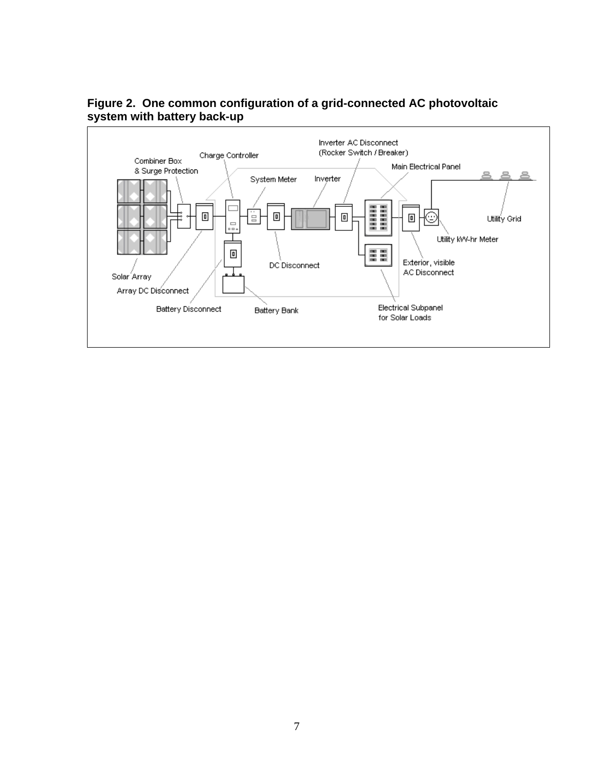

#### <span id="page-12-0"></span>**Figure 2. One common configuration of a grid-connected AC photovoltaic system with battery back-up**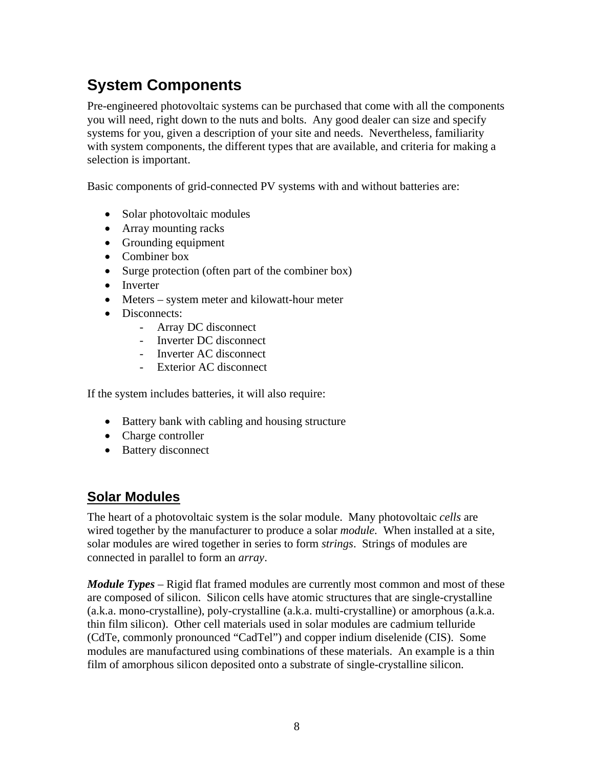# <span id="page-13-0"></span>**System Components**

Pre-engineered photovoltaic systems can be purchased that come with all the components you will need, right down to the nuts and bolts. Any good dealer can size and specify systems for you, given a description of your site and needs. Nevertheless, familiarity with system components, the different types that are available, and criteria for making a selection is important.

Basic components of grid-connected PV systems with and without batteries are:

- Solar photovoltaic modules
- Array mounting racks
- Grounding equipment
- Combiner box
- Surge protection (often part of the combiner box)
- Inverter
- Meters system meter and kilowatt-hour meter
- Disconnects:
	- Array DC disconnect
	- Inverter DC disconnect
	- Inverter AC disconnect
	- Exterior AC disconnect

If the system includes batteries, it will also require:

- Battery bank with cabling and housing structure
- Charge controller
- Battery disconnect

#### **Solar Modules**

The heart of a photovoltaic system is the solar module. Many photovoltaic *cells* are wired together by the manufacturer to produce a solar *module.* When installed at a site, solar modules are wired together in series to form *strings*. Strings of modules are connected in parallel to form an *array*.

*Module Types* – Rigid flat framed modules are currently most common and most of these are composed of silicon. Silicon cells have atomic structures that are single-crystalline (a.k.a. mono-crystalline), poly-crystalline (a.k.a. multi-crystalline) or amorphous (a.k.a. thin film silicon). Other cell materials used in solar modules are cadmium telluride (CdTe, commonly pronounced "CadTel") and copper indium diselenide (CIS). Some modules are manufactured using combinations of these materials. An example is a thin film of amorphous silicon deposited onto a substrate of single-crystalline silicon.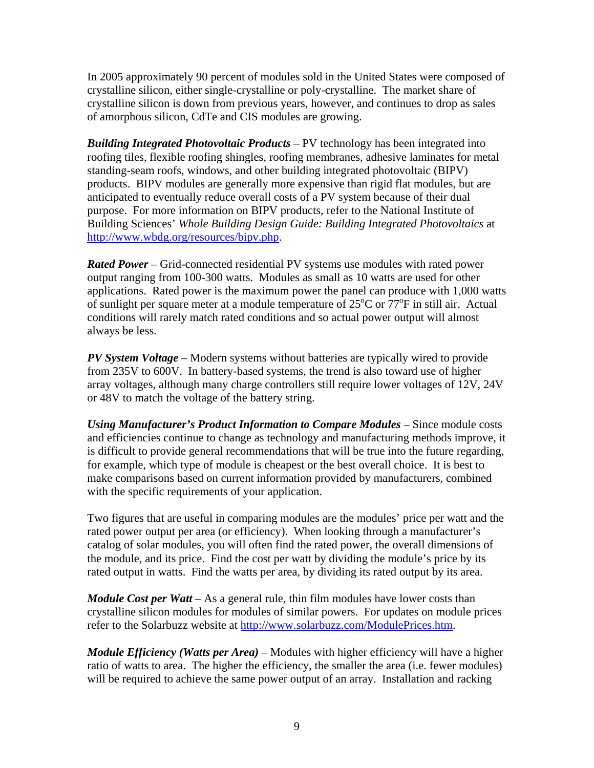In 2005 approximately 90 percent of modules sold in the United States were composed of crystalline silicon, either single-crystalline or poly-crystalline. The market share of crystalline silicon is down from previous years, however, and continues to drop as sales of amorphous silicon, CdTe and CIS modules are growing.

*Building Integrated Photovoltaic Products* – PV technology has been integrated into roofing tiles, flexible roofing shingles, roofing membranes, adhesive laminates for metal standing-seam roofs, windows, and other building integrated photovoltaic (BIPV) products. BIPV modules are generally more expensive than rigid flat modules, but are anticipated to eventually reduce overall costs of a PV system because of their dual purpose. For more information on BIPV products, refer to the National Institute of Building Sciences' *Whole Building Design Guide: Building Integrated Photovoltaics* at [http://www.wbdg.org/resources/bipv.php.](http://www.wbdg.org/resources/bipv.php)

*Rated Power* – Grid-connected residential PV systems use modules with rated power output ranging from 100-300 watts. Modules as small as 10 watts are used for other applications. Rated power is the maximum power the panel can produce with 1,000 watts of sunlight per square meter at a module temperature of  $25^{\circ}$ C or  $77^{\circ}$ F in still air. Actual conditions will rarely match rated conditions and so actual power output will almost always be less.

*PV System Voltage* – Modern systems without batteries are typically wired to provide from 235V to 600V. In battery-based systems, the trend is also toward use of higher array voltages, although many charge controllers still require lower voltages of 12V, 24V or 48V to match the voltage of the battery string.

*Using Manufacturer's Product Information to Compare Modules – Since module costs* and efficiencies continue to change as technology and manufacturing methods improve, it is difficult to provide general recommendations that will be true into the future regarding, for example, which type of module is cheapest or the best overall choice. It is best to make comparisons based on current information provided by manufacturers, combined with the specific requirements of your application.

Two figures that are useful in comparing modules are the modules' price per watt and the rated power output per area (or efficiency). When looking through a manufacturer's catalog of solar modules, you will often find the rated power, the overall dimensions of the module, and its price. Find the cost per watt by dividing the module's price by its rated output in watts. Find the watts per area, by dividing its rated output by its area.

*Module Cost per Watt* – As a general rule, thin film modules have lower costs than crystalline silicon modules for modules of similar powers. For updates on module prices refer to the Solarbuzz website at [http://www.solarbuzz.com/ModulePrices.htm.](http://www.solarbuzz.com/ModulePrices.htm)

*Module Efficiency (Watts per Area)* – Modules with higher efficiency will have a higher ratio of watts to area. The higher the efficiency, the smaller the area (i.e. fewer modules) will be required to achieve the same power output of an array. Installation and racking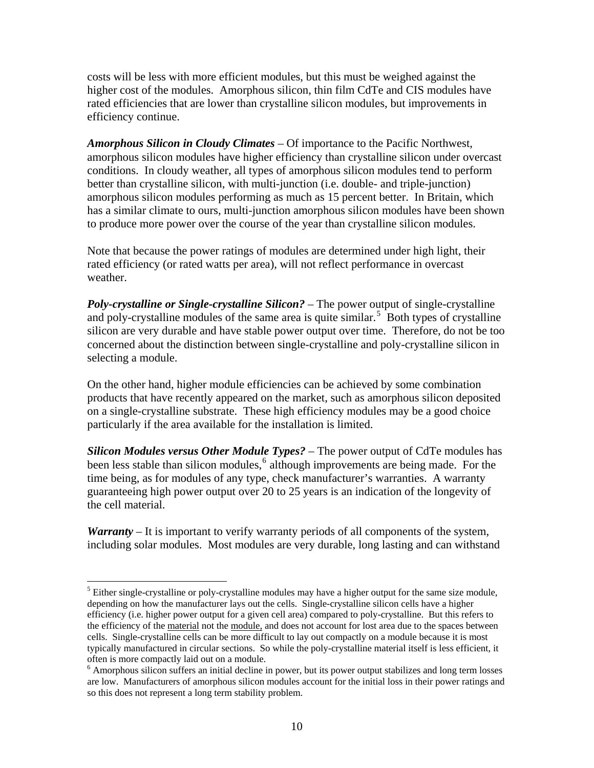costs will be less with more efficient modules, but this must be weighed against the higher cost of the modules. Amorphous silicon, thin film CdTe and CIS modules have rated efficiencies that are lower than crystalline silicon modules, but improvements in efficiency continue.

*Amorphous Silicon in Cloudy Climates* – Of importance to the Pacific Northwest, amorphous silicon modules have higher efficiency than crystalline silicon under overcast conditions. In cloudy weather, all types of amorphous silicon modules tend to perform better than crystalline silicon, with multi-junction (i.e. double- and triple-junction) amorphous silicon modules performing as much as 15 percent better. In Britain, which has a similar climate to ours, multi-junction amorphous silicon modules have been shown to produce more power over the course of the year than crystalline silicon modules.

Note that because the power ratings of modules are determined under high light, their rated efficiency (or rated watts per area), will not reflect performance in overcast weather.

*Poly-crystalline or Single-crystalline Silicon?* – The power output of single-crystalline and poly-crystalline modules of the same area is quite similar.<sup>[5](#page-15-0)</sup> Both types of crystalline silicon are very durable and have stable power output over time. Therefore, do not be too concerned about the distinction between single-crystalline and poly-crystalline silicon in selecting a module.

On the other hand, higher module efficiencies can be achieved by some combination products that have recently appeared on the market, such as amorphous silicon deposited on a single-crystalline substrate. These high efficiency modules may be a good choice particularly if the area available for the installation is limited.

*Silicon Modules versus Other Module Types?* – The power output of CdTe modules has been less stable than silicon modules,<sup>[6](#page-15-1)</sup> although improvements are being made. For the time being, as for modules of any type, check manufacturer's warranties. A warranty guaranteeing high power output over 20 to 25 years is an indication of the longevity of the cell material.

*Warranty* – It is important to verify warranty periods of all components of the system, including solar modules. Most modules are very durable, long lasting and can withstand

 $\overline{a}$ 

<span id="page-15-0"></span> $<sup>5</sup>$  Either single-crystalline or poly-crystalline modules may have a higher output for the same size module,</sup> depending on how the manufacturer lays out the cells. Single-crystalline silicon cells have a higher efficiency (i.e. higher power output for a given cell area) compared to poly-crystalline. But this refers to the efficiency of the material not the module, and does not account for lost area due to the spaces between cells. Single-crystalline cells can be more difficult to lay out compactly on a module because it is most typically manufactured in circular sections. So while the poly-crystalline material itself is less efficient, it often is more compactly laid out on a module.

<span id="page-15-1"></span><sup>&</sup>lt;sup>6</sup> Amorphous silicon suffers an initial decline in power, but its power output stabilizes and long term losses are low. Manufacturers of amorphous silicon modules account for the initial loss in their power ratings and so this does not represent a long term stability problem.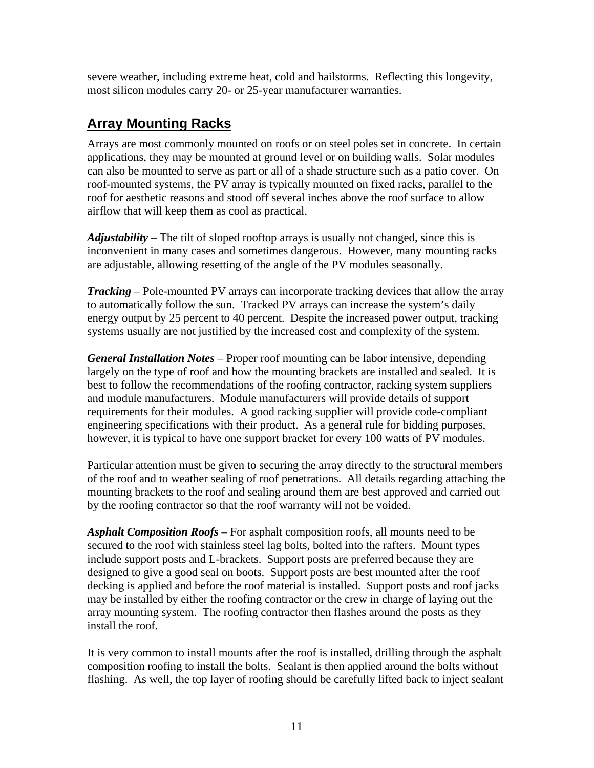<span id="page-16-0"></span>severe weather, including extreme heat, cold and hailstorms. Reflecting this longevity, most silicon modules carry 20- or 25-year manufacturer warranties.

#### **Array Mounting Racks**

Arrays are most commonly mounted on roofs or on steel poles set in concrete. In certain applications, they may be mounted at ground level or on building walls. Solar modules can also be mounted to serve as part or all of a shade structure such as a patio cover. On roof-mounted systems, the PV array is typically mounted on fixed racks, parallel to the roof for aesthetic reasons and stood off several inches above the roof surface to allow airflow that will keep them as cool as practical.

*Adjustability* – The tilt of sloped rooftop arrays is usually not changed, since this is inconvenient in many cases and sometimes dangerous. However, many mounting racks are adjustable, allowing resetting of the angle of the PV modules seasonally.

*Tracking* – Pole-mounted PV arrays can incorporate tracking devices that allow the array to automatically follow the sun. Tracked PV arrays can increase the system's daily energy output by 25 percent to 40 percent. Despite the increased power output, tracking systems usually are not justified by the increased cost and complexity of the system.

*General Installation Notes* – Proper roof mounting can be labor intensive, depending largely on the type of roof and how the mounting brackets are installed and sealed. It is best to follow the recommendations of the roofing contractor, racking system suppliers and module manufacturers. Module manufacturers will provide details of support requirements for their modules. A good racking supplier will provide code-compliant engineering specifications with their product. As a general rule for bidding purposes, however, it is typical to have one support bracket for every 100 watts of PV modules.

Particular attention must be given to securing the array directly to the structural members of the roof and to weather sealing of roof penetrations. All details regarding attaching the mounting brackets to the roof and sealing around them are best approved and carried out by the roofing contractor so that the roof warranty will not be voided.

*Asphalt Composition Roofs* – For asphalt composition roofs, all mounts need to be secured to the roof with stainless steel lag bolts, bolted into the rafters. Mount types include support posts and L-brackets. Support posts are preferred because they are designed to give a good seal on boots. Support posts are best mounted after the roof decking is applied and before the roof material is installed. Support posts and roof jacks may be installed by either the roofing contractor or the crew in charge of laying out the array mounting system. The roofing contractor then flashes around the posts as they install the roof.

It is very common to install mounts after the roof is installed, drilling through the asphalt composition roofing to install the bolts. Sealant is then applied around the bolts without flashing. As well, the top layer of roofing should be carefully lifted back to inject sealant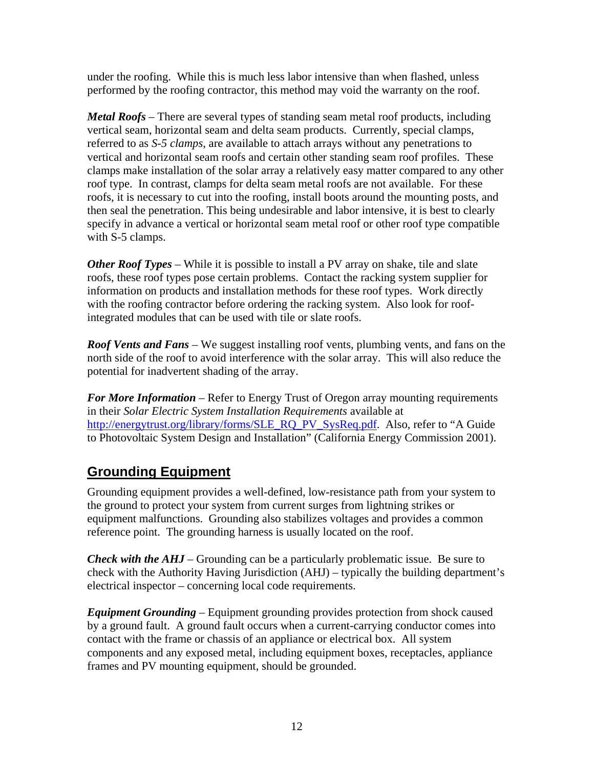<span id="page-17-0"></span>under the roofing. While this is much less labor intensive than when flashed, unless performed by the roofing contractor, this method may void the warranty on the roof.

*Metal Roofs* – There are several types of standing seam metal roof products, including vertical seam, horizontal seam and delta seam products. Currently, special clamps, referred to as *S-5 clamps*, are available to attach arrays without any penetrations to vertical and horizontal seam roofs and certain other standing seam roof profiles. These clamps make installation of the solar array a relatively easy matter compared to any other roof type. In contrast, clamps for delta seam metal roofs are not available. For these roofs, it is necessary to cut into the roofing, install boots around the mounting posts, and then seal the penetration. This being undesirable and labor intensive, it is best to clearly specify in advance a vertical or horizontal seam metal roof or other roof type compatible with S-5 clamps.

*Other Roof Types* – While it is possible to install a PV array on shake, tile and slate roofs, these roof types pose certain problems. Contact the racking system supplier for information on products and installation methods for these roof types. Work directly with the roofing contractor before ordering the racking system. Also look for roofintegrated modules that can be used with tile or slate roofs.

*Roof Vents and Fans* – We suggest installing roof vents, plumbing vents, and fans on the north side of the roof to avoid interference with the solar array. This will also reduce the potential for inadvertent shading of the array.

*For More Information* – Refer to Energy Trust of Oregon array mounting requirements in their *Solar Electric System Installation Requirements* available at [http://energytrust.org/library/forms/SLE\\_RQ\\_PV\\_SysReq.pdf.](http://energytrust.org/library/forms/SLE_RQ_PV_SysReq.pdf) Also, refer to "A Guide" to Photovoltaic System Design and Installation" (California Energy Commission 2001).

#### **Grounding Equipment**

Grounding equipment provides a well-defined, low-resistance path from your system to the ground to protect your system from current surges from lightning strikes or equipment malfunctions. Grounding also stabilizes voltages and provides a common reference point. The grounding harness is usually located on the roof.

*Check with the AHJ* – Grounding can be a particularly problematic issue. Be sure to check with the Authority Having Jurisdiction (AHJ) – typically the building department's electrical inspector – concerning local code requirements.

*Equipment Grounding* – Equipment grounding provides protection from shock caused by a ground fault. A ground fault occurs when a current-carrying conductor comes into contact with the frame or chassis of an appliance or electrical box. All system components and any exposed metal, including equipment boxes, receptacles, appliance frames and PV mounting equipment, should be grounded.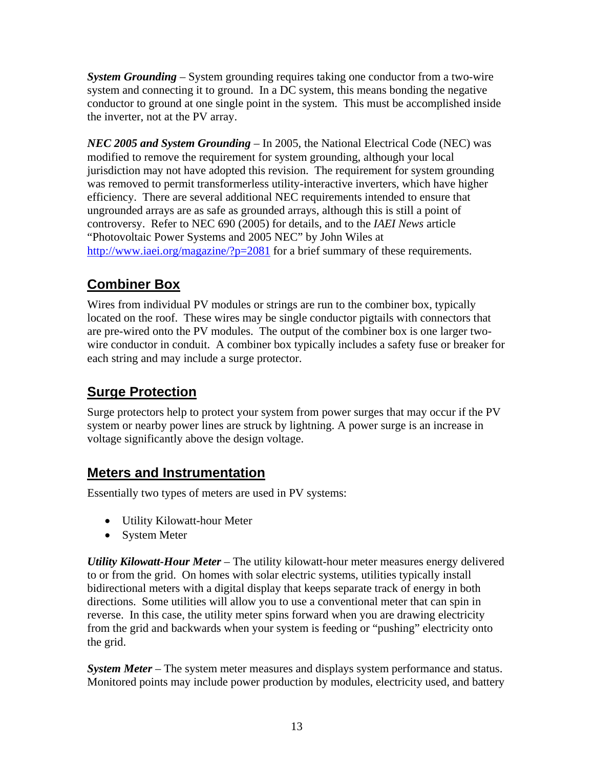<span id="page-18-0"></span>*System Grounding* – System grounding requires taking one conductor from a two-wire system and connecting it to ground. In a DC system, this means bonding the negative conductor to ground at one single point in the system. This must be accomplished inside the inverter, not at the PV array.

*NEC 2005 and System Grounding* – In 2005, the National Electrical Code (NEC) was modified to remove the requirement for system grounding, although your local jurisdiction may not have adopted this revision. The requirement for system grounding was removed to permit transformerless utility-interactive inverters, which have higher efficiency. There are several additional NEC requirements intended to ensure that ungrounded arrays are as safe as grounded arrays, although this is still a point of controversy. Refer to NEC 690 (2005) for details, and to the *IAEI News* article "Photovoltaic Power Systems and 2005 NEC" by John Wiles at <http://www.iaei.org/magazine/?p=2081>for a brief summary of these requirements.

## **Combiner Box**

Wires from individual PV modules or strings are run to the combiner box, typically located on the roof. These wires may be single conductor pigtails with connectors that are pre-wired onto the PV modules. The output of the combiner box is one larger twowire conductor in conduit. A combiner box typically includes a safety fuse or breaker for each string and may include a surge protector.

### **Surge Protection**

Surge protectors help to protect your system from power surges that may occur if the PV system or nearby power lines are struck by lightning. A power surge is an increase in voltage significantly above the design voltage.

#### **Meters and Instrumentation**

Essentially two types of meters are used in PV systems:

- Utility Kilowatt-hour Meter
- System Meter

*Utility Kilowatt-Hour Meter* – The utility kilowatt-hour meter measures energy delivered to or from the grid. On homes with solar electric systems, utilities typically install bidirectional meters with a digital display that keeps separate track of energy in both directions. Some utilities will allow you to use a conventional meter that can spin in reverse. In this case, the utility meter spins forward when you are drawing electricity from the grid and backwards when your system is feeding or "pushing" electricity onto the grid.

*System Meter* – The system meter measures and displays system performance and status. Monitored points may include power production by modules, electricity used, and battery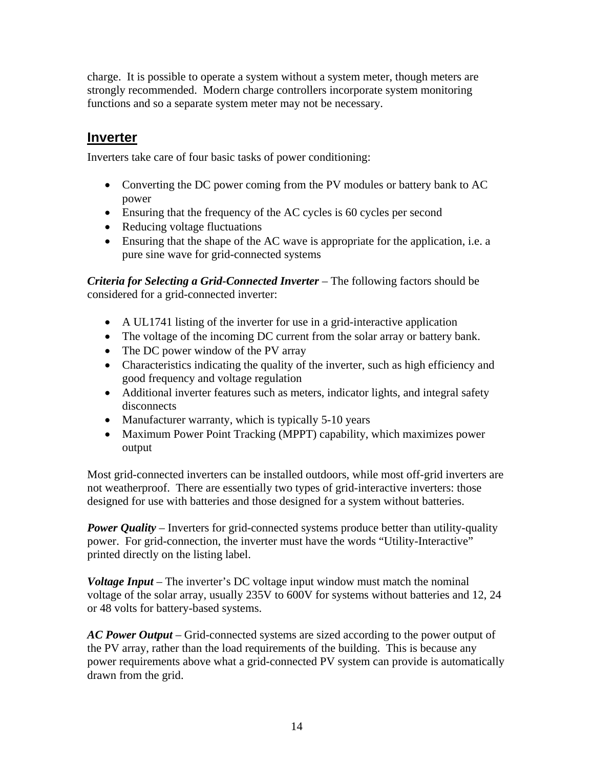<span id="page-19-0"></span>charge. It is possible to operate a system without a system meter, though meters are strongly recommended. Modern charge controllers incorporate system monitoring functions and so a separate system meter may not be necessary.

#### **Inverter**

Inverters take care of four basic tasks of power conditioning:

- Converting the DC power coming from the PV modules or battery bank to AC power
- Ensuring that the frequency of the AC cycles is 60 cycles per second
- Reducing voltage fluctuations
- Ensuring that the shape of the AC wave is appropriate for the application, i.e. a pure sine wave for grid-connected systems

*Criteria for Selecting a Grid-Connected Inverter* – The following factors should be considered for a grid-connected inverter:

- A UL1741 listing of the inverter for use in a grid-interactive application
- The voltage of the incoming DC current from the solar array or battery bank.
- The DC power window of the PV array
- Characteristics indicating the quality of the inverter, such as high efficiency and good frequency and voltage regulation
- Additional inverter features such as meters, indicator lights, and integral safety disconnects
- Manufacturer warranty, which is typically 5-10 years
- Maximum Power Point Tracking (MPPT) capability, which maximizes power output

Most grid-connected inverters can be installed outdoors, while most off-grid inverters are not weatherproof. There are essentially two types of grid-interactive inverters: those designed for use with batteries and those designed for a system without batteries.

*Power Quality* – Inverters for grid-connected systems produce better than utility-quality power. For grid-connection, the inverter must have the words "Utility-Interactive" printed directly on the listing label.

*Voltage Input* – The inverter's DC voltage input window must match the nominal voltage of the solar array, usually 235V to 600V for systems without batteries and 12, 24 or 48 volts for battery-based systems.

*AC Power Output* – Grid-connected systems are sized according to the power output of the PV array, rather than the load requirements of the building. This is because any power requirements above what a grid-connected PV system can provide is automatically drawn from the grid.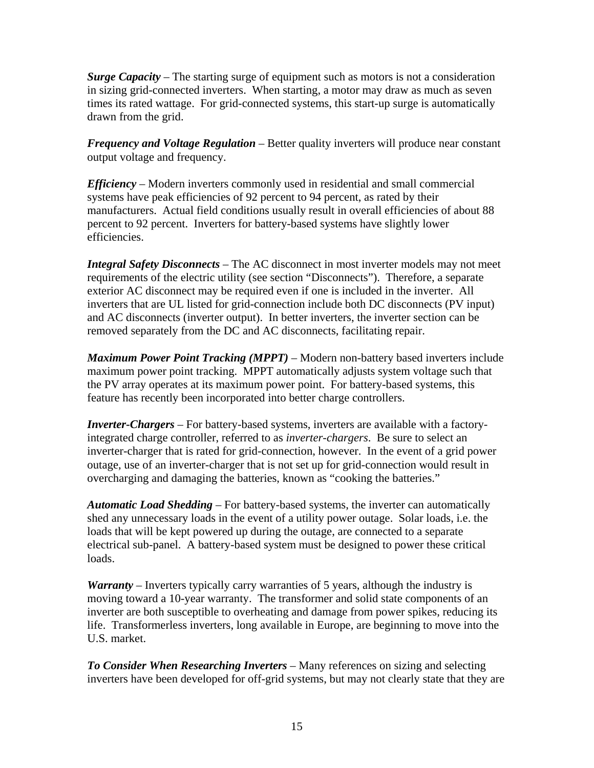*Surge Capacity* – The starting surge of equipment such as motors is not a consideration in sizing grid-connected inverters. When starting, a motor may draw as much as seven times its rated wattage. For grid-connected systems, this start-up surge is automatically drawn from the grid.

*Frequency and Voltage Regulation* – Better quality inverters will produce near constant output voltage and frequency.

*Efficiency* – Modern inverters commonly used in residential and small commercial systems have peak efficiencies of 92 percent to 94 percent, as rated by their manufacturers. Actual field conditions usually result in overall efficiencies of about 88 percent to 92 percent. Inverters for battery-based systems have slightly lower efficiencies.

*Integral Safety Disconnects* – The AC disconnect in most inverter models may not meet requirements of the electric utility (see section "Disconnects"). Therefore, a separate exterior AC disconnect may be required even if one is included in the inverter. All inverters that are UL listed for grid-connection include both DC disconnects (PV input) and AC disconnects (inverter output). In better inverters, the inverter section can be removed separately from the DC and AC disconnects, facilitating repair.

*Maximum Power Point Tracking (MPPT) –* Modern non-battery based inverters include maximum power point tracking. MPPT automatically adjusts system voltage such that the PV array operates at its maximum power point. For battery-based systems, this feature has recently been incorporated into better charge controllers.

*Inverter-Chargers* – For battery-based systems, inverters are available with a factoryintegrated charge controller, referred to as *inverter-chargers*. Be sure to select an inverter-charger that is rated for grid-connection, however. In the event of a grid power outage, use of an inverter-charger that is not set up for grid-connection would result in overcharging and damaging the batteries, known as "cooking the batteries."

*Automatic Load Shedding –* For battery-based systems, the inverter can automatically shed any unnecessary loads in the event of a utility power outage. Solar loads, i.e. the loads that will be kept powered up during the outage, are connected to a separate electrical sub-panel. A battery-based system must be designed to power these critical loads.

*Warranty* – Inverters typically carry warranties of 5 years, although the industry is moving toward a 10-year warranty. The transformer and solid state components of an inverter are both susceptible to overheating and damage from power spikes, reducing its life. Transformerless inverters, long available in Europe, are beginning to move into the U.S. market.

*To Consider When Researching Inverters* – Many references on sizing and selecting inverters have been developed for off-grid systems, but may not clearly state that they are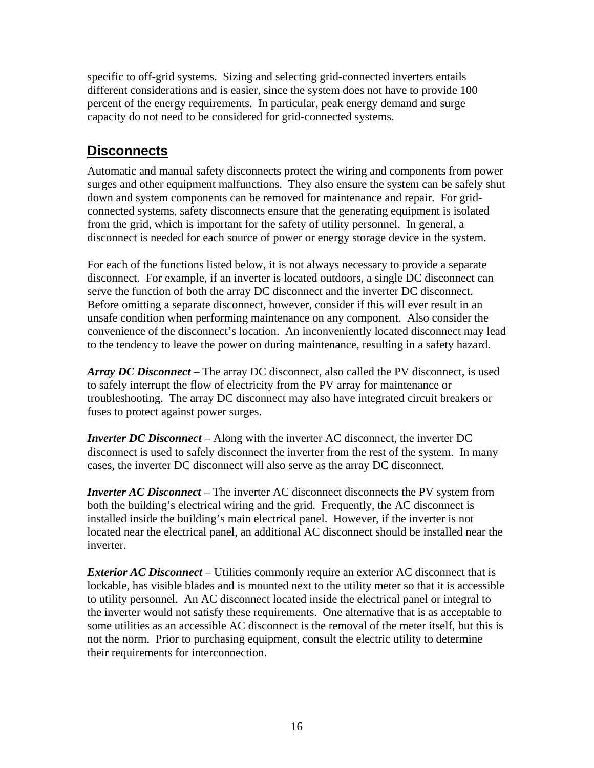<span id="page-21-0"></span>specific to off-grid systems. Sizing and selecting grid-connected inverters entails different considerations and is easier, since the system does not have to provide 100 percent of the energy requirements. In particular, peak energy demand and surge capacity do not need to be considered for grid-connected systems.

#### **Disconnects**

Automatic and manual safety disconnects protect the wiring and components from power surges and other equipment malfunctions. They also ensure the system can be safely shut down and system components can be removed for maintenance and repair. For gridconnected systems, safety disconnects ensure that the generating equipment is isolated from the grid, which is important for the safety of utility personnel. In general, a disconnect is needed for each source of power or energy storage device in the system.

For each of the functions listed below, it is not always necessary to provide a separate disconnect. For example, if an inverter is located outdoors, a single DC disconnect can serve the function of both the array DC disconnect and the inverter DC disconnect. Before omitting a separate disconnect, however, consider if this will ever result in an unsafe condition when performing maintenance on any component. Also consider the convenience of the disconnect's location. An inconveniently located disconnect may lead to the tendency to leave the power on during maintenance, resulting in a safety hazard.

*Array DC Disconnect* – The array DC disconnect, also called the PV disconnect, is used to safely interrupt the flow of electricity from the PV array for maintenance or troubleshooting. The array DC disconnect may also have integrated circuit breakers or fuses to protect against power surges.

*Inverter DC Disconnect* – Along with the inverter AC disconnect, the inverter DC disconnect is used to safely disconnect the inverter from the rest of the system. In many cases, the inverter DC disconnect will also serve as the array DC disconnect.

*Inverter AC Disconnect* – The inverter AC disconnect disconnects the PV system from both the building's electrical wiring and the grid. Frequently, the AC disconnect is installed inside the building's main electrical panel. However, if the inverter is not located near the electrical panel, an additional AC disconnect should be installed near the inverter.

*Exterior AC Disconnect* – Utilities commonly require an exterior AC disconnect that is lockable, has visible blades and is mounted next to the utility meter so that it is accessible to utility personnel. An AC disconnect located inside the electrical panel or integral to the inverter would not satisfy these requirements. One alternative that is as acceptable to some utilities as an accessible AC disconnect is the removal of the meter itself, but this is not the norm. Prior to purchasing equipment, consult the electric utility to determine their requirements for interconnection.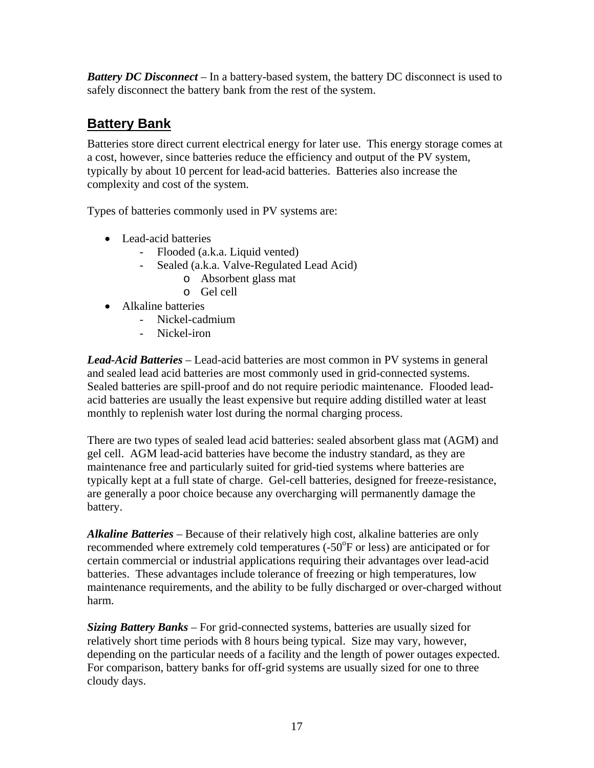<span id="page-22-0"></span>*Battery DC Disconnect* – In a battery-based system, the battery DC disconnect is used to safely disconnect the battery bank from the rest of the system.

## **Battery Bank**

Batteries store direct current electrical energy for later use. This energy storage comes at a cost, however, since batteries reduce the efficiency and output of the PV system, typically by about 10 percent for lead-acid batteries. Batteries also increase the complexity and cost of the system.

Types of batteries commonly used in PV systems are:

- Lead-acid batteries
	- Flooded (a.k.a. Liquid vented)
	- Sealed (a.k.a. Valve-Regulated Lead Acid)
		- o Absorbent glass mat
		- o Gel cell
- Alkaline batteries
	- Nickel-cadmium
	- Nickel-iron

*Lead-Acid Batteries* – Lead-acid batteries are most common in PV systems in general and sealed lead acid batteries are most commonly used in grid-connected systems. Sealed batteries are spill-proof and do not require periodic maintenance. Flooded leadacid batteries are usually the least expensive but require adding distilled water at least monthly to replenish water lost during the normal charging process.

There are two types of sealed lead acid batteries: sealed absorbent glass mat (AGM) and gel cell. AGM lead-acid batteries have become the industry standard, as they are maintenance free and particularly suited for grid-tied systems where batteries are typically kept at a full state of charge. Gel-cell batteries, designed for freeze-resistance, are generally a poor choice because any overcharging will permanently damage the battery.

*Alkaline Batteries* – Because of their relatively high cost, alkaline batteries are only recommended where extremely cold temperatures  $(-50^{\circ}$ F or less) are anticipated or for certain commercial or industrial applications requiring their advantages over lead-acid batteries. These advantages include tolerance of freezing or high temperatures, low maintenance requirements, and the ability to be fully discharged or over-charged without harm.

*Sizing Battery Banks* – For grid-connected systems, batteries are usually sized for relatively short time periods with 8 hours being typical. Size may vary, however, depending on the particular needs of a facility and the length of power outages expected. For comparison, battery banks for off-grid systems are usually sized for one to three cloudy days.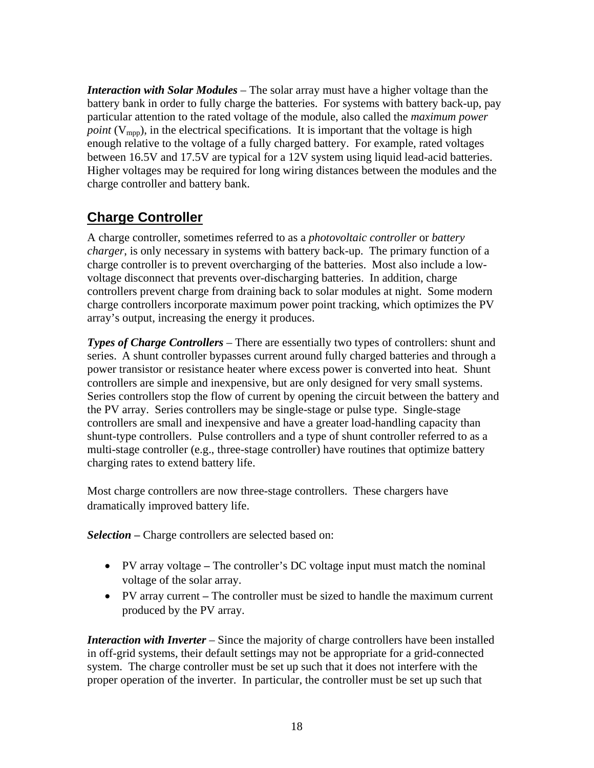<span id="page-23-0"></span>*Interaction with Solar Modules* – The solar array must have a higher voltage than the battery bank in order to fully charge the batteries. For systems with battery back-up, pay particular attention to the rated voltage of the module, also called the *maximum power point* ( $V_{\text{mon}}$ ), in the electrical specifications. It is important that the voltage is high enough relative to the voltage of a fully charged battery. For example, rated voltages between 16.5V and 17.5V are typical for a 12V system using liquid lead-acid batteries. Higher voltages may be required for long wiring distances between the modules and the charge controller and battery bank.

#### **Charge Controller**

A charge controller, sometimes referred to as a *photovoltaic controller* or *battery charger*, is only necessary in systems with battery back-up. The primary function of a charge controller is to prevent overcharging of the batteries. Most also include a lowvoltage disconnect that prevents over-discharging batteries. In addition, charge controllers prevent charge from draining back to solar modules at night. Some modern charge controllers incorporate maximum power point tracking, which optimizes the PV array's output, increasing the energy it produces.

*Types of Charge Controllers* – There are essentially two types of controllers: shunt and series. A shunt controller bypasses current around fully charged batteries and through a power transistor or resistance heater where excess power is converted into heat. Shunt controllers are simple and inexpensive, but are only designed for very small systems. Series controllers stop the flow of current by opening the circuit between the battery and the PV array. Series controllers may be single-stage or pulse type. Single-stage controllers are small and inexpensive and have a greater load-handling capacity than shunt-type controllers. Pulse controllers and a type of shunt controller referred to as a multi-stage controller (e.g., three-stage controller) have routines that optimize battery charging rates to extend battery life.

Most charge controllers are now three-stage controllers. These chargers have dramatically improved battery life.

*Selection* – Charge controllers are selected based on:

- PV array voltage The controller's DC voltage input must match the nominal voltage of the solar array.
- PV array current The controller must be sized to handle the maximum current produced by the PV array.

*Interaction with Inverter* – Since the majority of charge controllers have been installed in off-grid systems, their default settings may not be appropriate for a grid-connected system. The charge controller must be set up such that it does not interfere with the proper operation of the inverter. In particular, the controller must be set up such that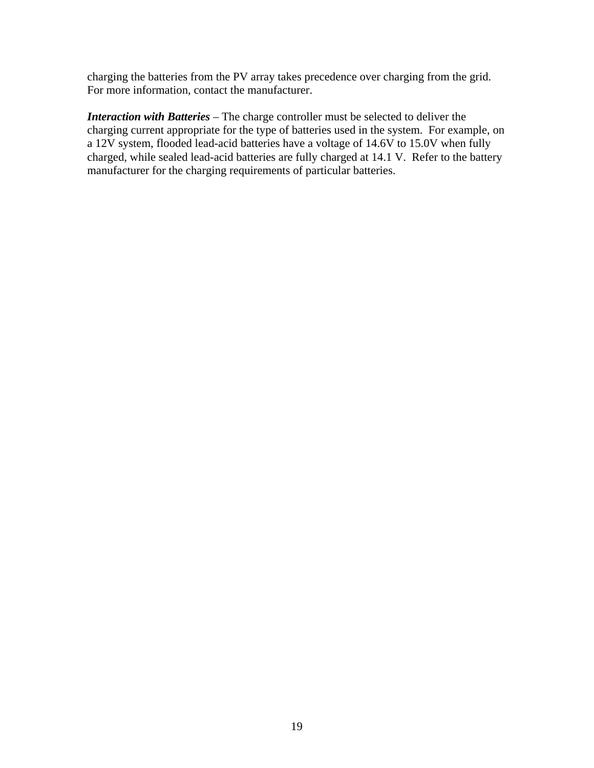charging the batteries from the PV array takes precedence over charging from the grid. For more information, contact the manufacturer.

*Interaction with Batteries* – The charge controller must be selected to deliver the charging current appropriate for the type of batteries used in the system. For example, on a 12V system, flooded lead-acid batteries have a voltage of 14.6V to 15.0V when fully charged, while sealed lead-acid batteries are fully charged at 14.1 V. Refer to the battery manufacturer for the charging requirements of particular batteries.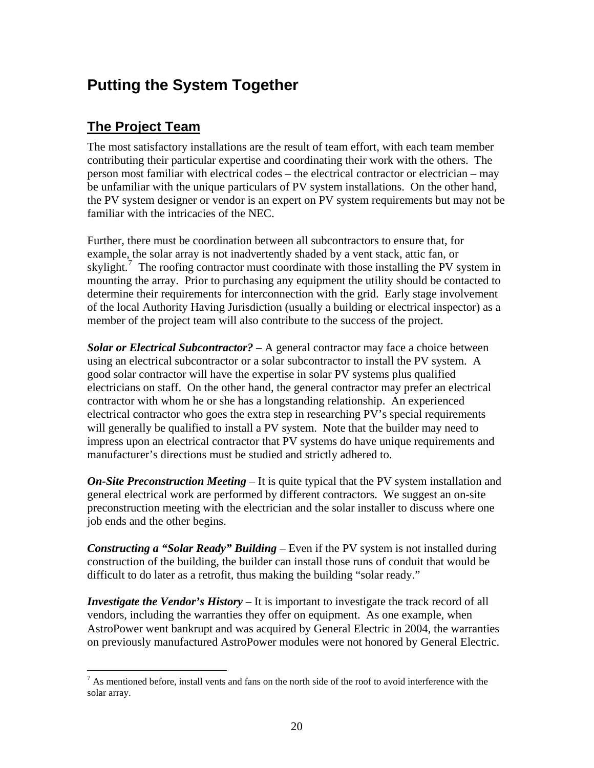## <span id="page-25-0"></span>**Putting the System Together**

#### **The Project Team**

 $\overline{a}$ 

The most satisfactory installations are the result of team effort, with each team member contributing their particular expertise and coordinating their work with the others. The person most familiar with electrical codes – the electrical contractor or electrician – may be unfamiliar with the unique particulars of PV system installations. On the other hand, the PV system designer or vendor is an expert on PV system requirements but may not be familiar with the intricacies of the NEC.

Further, there must be coordination between all subcontractors to ensure that, for example, the solar array is not inadvertently shaded by a vent stack, attic fan, or skylight.<sup>[7](#page-25-1)</sup> The roofing contractor must coordinate with those installing the PV system in mounting the array. Prior to purchasing any equipment the utility should be contacted to determine their requirements for interconnection with the grid. Early stage involvement of the local Authority Having Jurisdiction (usually a building or electrical inspector) as a member of the project team will also contribute to the success of the project.

*Solar or Electrical Subcontractor?* – A general contractor may face a choice between using an electrical subcontractor or a solar subcontractor to install the PV system. A good solar contractor will have the expertise in solar PV systems plus qualified electricians on staff. On the other hand, the general contractor may prefer an electrical contractor with whom he or she has a longstanding relationship. An experienced electrical contractor who goes the extra step in researching PV's special requirements will generally be qualified to install a PV system. Note that the builder may need to impress upon an electrical contractor that PV systems do have unique requirements and manufacturer's directions must be studied and strictly adhered to.

*On-Site Preconstruction Meeting* – It is quite typical that the PV system installation and general electrical work are performed by different contractors. We suggest an on-site preconstruction meeting with the electrician and the solar installer to discuss where one job ends and the other begins.

*Constructing a "Solar Ready" Building* – Even if the PV system is not installed during construction of the building, the builder can install those runs of conduit that would be difficult to do later as a retrofit, thus making the building "solar ready."

*Investigate the Vendor's History* – It is important to investigate the track record of all vendors, including the warranties they offer on equipment. As one example, when AstroPower went bankrupt and was acquired by General Electric in 2004, the warranties on previously manufactured AstroPower modules were not honored by General Electric.

<span id="page-25-1"></span> $<sup>7</sup>$  As mentioned before, install vents and fans on the north side of the roof to avoid interference with the</sup> solar array.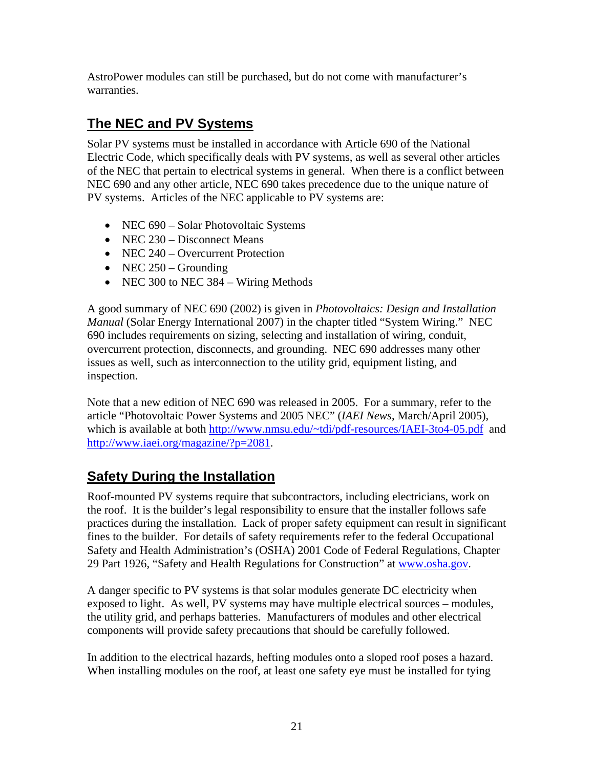<span id="page-26-0"></span>AstroPower modules can still be purchased, but do not come with manufacturer's warranties.

## **The NEC and PV Systems**

Solar PV systems must be installed in accordance with Article 690 of the National Electric Code, which specifically deals with PV systems, as well as several other articles of the NEC that pertain to electrical systems in general. When there is a conflict between NEC 690 and any other article, NEC 690 takes precedence due to the unique nature of PV systems. Articles of the NEC applicable to PV systems are:

- NEC 690 Solar Photovoltaic Systems
- NEC 230 Disconnect Means
- NEC 240 Overcurrent Protection
- NEC  $250 -$  Grounding
- NEC 300 to NEC 384 Wiring Methods

A good summary of NEC 690 (2002) is given in *Photovoltaics: Design and Installation Manual* (Solar Energy International 2007) in the chapter titled "System Wiring." NEC 690 includes requirements on sizing, selecting and installation of wiring, conduit, overcurrent protection, disconnects, and grounding. NEC 690 addresses many other issues as well, such as interconnection to the utility grid, equipment listing, and inspection.

Note that a new edition of NEC 690 was released in 2005. For a summary, refer to the article "Photovoltaic Power Systems and 2005 NEC" (*IAEI News*, March/April 2005), which is available at both [http://www.nmsu.edu/~tdi/pdf-resources/IAEI-3to4-05.pdf](http://www.nmsu.edu/%7Etdi/pdf-resources/IAEI-3to4-05.pdf) and [http://www.iaei.org/magazine/?p=2081.](http://www.iaei.org/magazine/?p=2081)

### **Safety During the Installation**

Roof-mounted PV systems require that subcontractors, including electricians, work on the roof. It is the builder's legal responsibility to ensure that the installer follows safe practices during the installation. Lack of proper safety equipment can result in significant fines to the builder. For details of safety requirements refer to the federal Occupational Safety and Health Administration's (OSHA) 2001 Code of Federal Regulations, Chapter 29 Part 1926, "Safety and Health Regulations for Construction" at [www.osha.gov.](http://www.osha.gov/)

A danger specific to PV systems is that solar modules generate DC electricity when exposed to light. As well, PV systems may have multiple electrical sources – modules, the utility grid, and perhaps batteries. Manufacturers of modules and other electrical components will provide safety precautions that should be carefully followed.

In addition to the electrical hazards, hefting modules onto a sloped roof poses a hazard. When installing modules on the roof, at least one safety eye must be installed for tying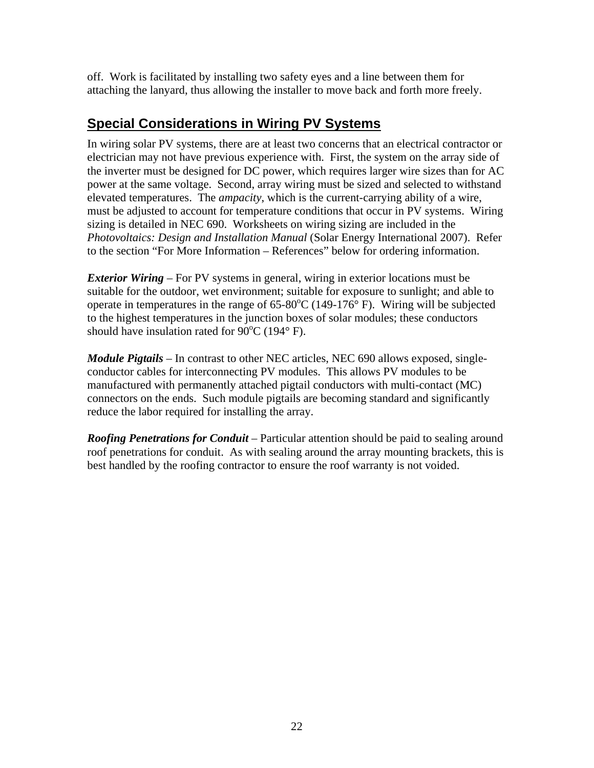<span id="page-27-0"></span>off. Work is facilitated by installing two safety eyes and a line between them for attaching the lanyard, thus allowing the installer to move back and forth more freely.

#### **Special Considerations in Wiring PV Systems**

In wiring solar PV systems, there are at least two concerns that an electrical contractor or electrician may not have previous experience with. First, the system on the array side of the inverter must be designed for DC power, which requires larger wire sizes than for AC power at the same voltage. Second, array wiring must be sized and selected to withstand elevated temperatures. The *ampacity*, which is the current-carrying ability of a wire, must be adjusted to account for temperature conditions that occur in PV systems. Wiring sizing is detailed in NEC 690. Worksheets on wiring sizing are included in the *Photovoltaics: Design and Installation Manual* (Solar Energy International 2007). Refer to the section "For More Information – References" below for ordering information.

*Exterior Wiring* – For PV systems in general, wiring in exterior locations must be suitable for the outdoor, wet environment; suitable for exposure to sunlight; and able to operate in temperatures in the range of  $65{\text -}80^{\circ}\text{C}$  (149-176 $^{\circ}$  F). Wiring will be subjected to the highest temperatures in the junction boxes of solar modules; these conductors should have insulation rated for  $90^{\circ}$ C (194 $^{\circ}$  F).

*Module Pigtails* – In contrast to other NEC articles, NEC 690 allows exposed, singleconductor cables for interconnecting PV modules. This allows PV modules to be manufactured with permanently attached pigtail conductors with multi-contact (MC) connectors on the ends. Such module pigtails are becoming standard and significantly reduce the labor required for installing the array.

*Roofing Penetrations for Conduit* – Particular attention should be paid to sealing around roof penetrations for conduit. As with sealing around the array mounting brackets, this is best handled by the roofing contractor to ensure the roof warranty is not voided.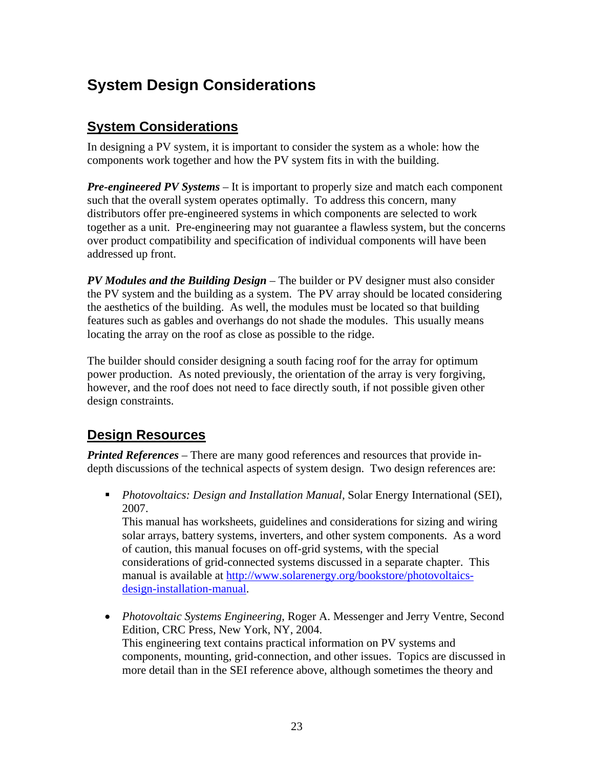## <span id="page-28-0"></span>**System Design Considerations**

#### **System Considerations**

In designing a PV system, it is important to consider the system as a whole: how the components work together and how the PV system fits in with the building.

*Pre-engineered PV Systems* – It is important to properly size and match each component such that the overall system operates optimally. To address this concern, many distributors offer pre-engineered systems in which components are selected to work together as a unit. Pre-engineering may not guarantee a flawless system, but the concerns over product compatibility and specification of individual components will have been addressed up front.

*PV Modules and the Building Design* – The builder or PV designer must also consider the PV system and the building as a system. The PV array should be located considering the aesthetics of the building. As well, the modules must be located so that building features such as gables and overhangs do not shade the modules. This usually means locating the array on the roof as close as possible to the ridge.

The builder should consider designing a south facing roof for the array for optimum power production. As noted previously, the orientation of the array is very forgiving, however, and the roof does not need to face directly south, if not possible given other design constraints.

#### **Design Resources**

*Printed References* – There are many good references and resources that provide indepth discussions of the technical aspects of system design. Two design references are:

 *Photovoltaics: Design and Installation Manual,* Solar Energy International (SEI), 2007.

This manual has worksheets, guidelines and considerations for sizing and wiring solar arrays, battery systems, inverters, and other system components. As a word of caution, this manual focuses on off-grid systems, with the special considerations of grid-connected systems discussed in a separate chapter. This manual is available at [http://www.solarenergy.org/bookstore/photovoltaics](http://www.solarenergy.org/bookstore/photovoltaics-design-installation-manual)[design-installation-manual.](http://www.solarenergy.org/bookstore/photovoltaics-design-installation-manual)

• *Photovoltaic Systems Engineering*, Roger A. Messenger and Jerry Ventre, Second Edition, CRC Press, New York, NY, 2004. This engineering text contains practical information on PV systems and components, mounting, grid-connection, and other issues. Topics are discussed in more detail than in the SEI reference above, although sometimes the theory and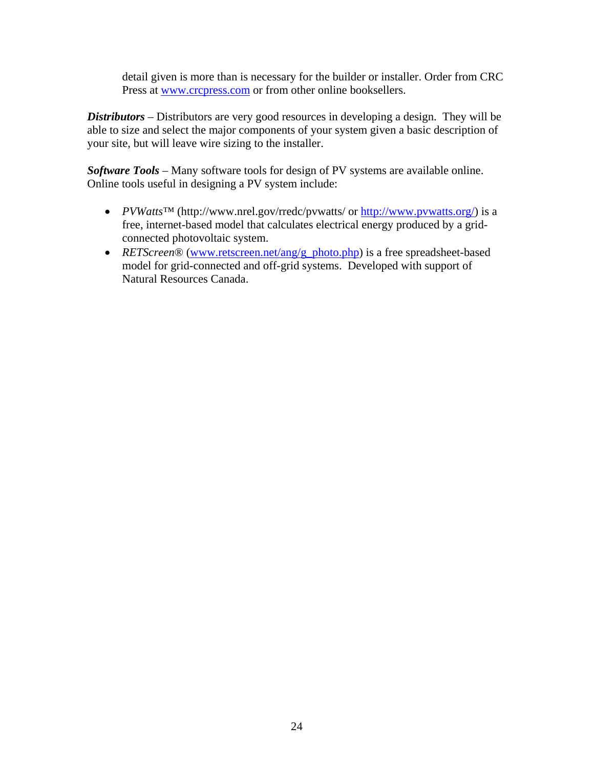detail given is more than is necessary for the builder or installer. Order from CRC Press at [www.crcpress.com](http://www.crcpress.com/) or from other online booksellers.

*Distributors* – Distributors are very good resources in developing a design. They will be able to size and select the major components of your system given a basic description of your site, but will leave wire sizing to the installer.

*Software Tools* – Many software tools for design of PV systems are available online. Online tools useful in designing a PV system include:

- *PVWatts*™ (http://www.nrel.gov/rredc/pvwatts/ or<http://www.pvwatts.org/>) is a free, internet-based model that calculates electrical energy produced by a gridconnected photovoltaic system.
- *RETScreen*® [\(www.retscreen.net/ang/g\\_photo.php](http://www.retscreen.net/ang/g_photo.php)) is a free spreadsheet-based model for grid-connected and off-grid systems. Developed with support of Natural Resources Canada.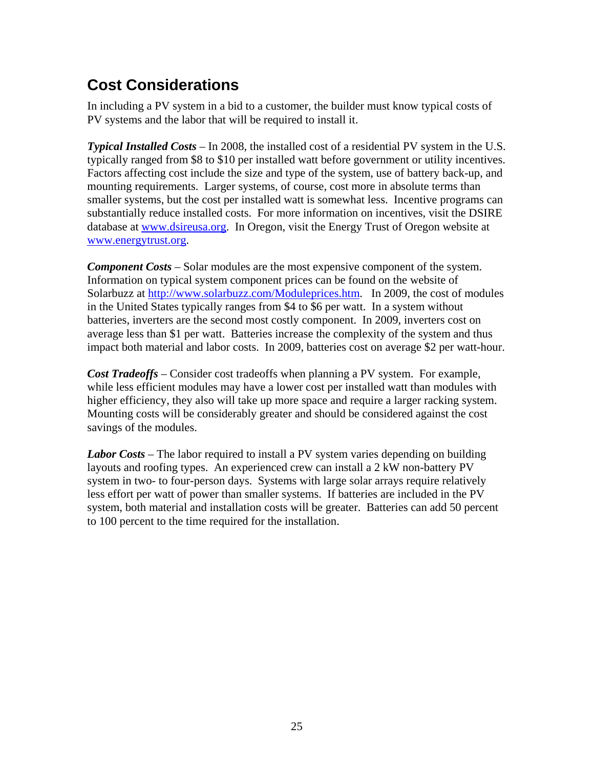## <span id="page-30-0"></span>**Cost Considerations**

In including a PV system in a bid to a customer, the builder must know typical costs of PV systems and the labor that will be required to install it.

*Typical Installed Costs* – In 2008, the installed cost of a residential PV system in the U.S. typically ranged from \$8 to \$10 per installed watt before government or utility incentives. Factors affecting cost include the size and type of the system, use of battery back-up, and mounting requirements. Larger systems, of course, cost more in absolute terms than smaller systems, but the cost per installed watt is somewhat less. Incentive programs can substantially reduce installed costs. For more information on incentives, visit the DSIRE database at [www.dsireusa.org](http://www.dsireusa.org/). In Oregon, visit the Energy Trust of Oregon website at [www.energytrust.org.](http://www.energytrust.org/)

*Component Costs* – Solar modules are the most expensive component of the system. Information on typical system component prices can be found on the website of Solarbuzz at [http://www.solarbuzz.com/Moduleprices.htm.](http://www.solarbuzz.com/Moduleprices.htm) In 2009, the cost of modules in the United States typically ranges from \$4 to \$6 per watt. In a system without batteries, inverters are the second most costly component. In 2009, inverters cost on average less than \$1 per watt. Batteries increase the complexity of the system and thus impact both material and labor costs. In 2009, batteries cost on average \$2 per watt-hour.

*Cost Tradeoffs* – Consider cost tradeoffs when planning a PV system. For example, while less efficient modules may have a lower cost per installed watt than modules with higher efficiency, they also will take up more space and require a larger racking system. Mounting costs will be considerably greater and should be considered against the cost savings of the modules.

*Labor Costs* – The labor required to install a PV system varies depending on building layouts and roofing types. An experienced crew can install a 2 kW non-battery PV system in two- to four-person days. Systems with large solar arrays require relatively less effort per watt of power than smaller systems. If batteries are included in the PV system, both material and installation costs will be greater. Batteries can add 50 percent to 100 percent to the time required for the installation.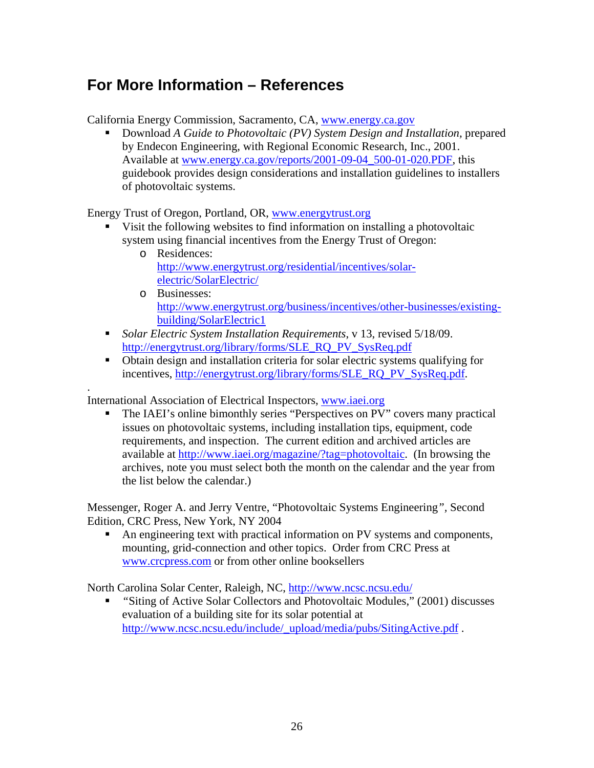## <span id="page-31-0"></span>**For More Information – References**

California Energy Commission, Sacramento, CA, [www.energy.ca.gov](http://www.energy.ca.gov/)

 Download *A Guide to Photovoltaic (PV) System Design and Installation,* prepared by Endecon Engineering, with Regional Economic Research, Inc., 2001. Available at [www.energy.ca.gov/reports/2001-09-04\\_500-01-020.PDF](http://www.energy.ca.gov/reports/2001-09-04_500-01-020.PDF), this guidebook provides design considerations and installation guidelines to installers of photovoltaic systems.

Energy Trust of Oregon, Portland, OR, [www.energytrust.org](http://www.energytrust.org/)

- Visit the following websites to find information on installing a photovoltaic system using financial incentives from the Energy Trust of Oregon:
	- o Residences: [http://www.energytrust.org/residential/incentives/solar](http://www.energytrust.org/residential/incentives/solar-electric/SolarElectric/)[electric/SolarElectric/](http://www.energytrust.org/residential/incentives/solar-electric/SolarElectric/)
	- o Businesses: [http://www.energytrust.org/business/incentives/other-businesses/existing](http://www.energytrust.org/business/incentives/other-businesses/existing-building/SolarElectric1)[building/SolarElectric1](http://www.energytrust.org/business/incentives/other-businesses/existing-building/SolarElectric1)
- *Solar Electric System Installation Requirements*, v 13, revised 5/18/09. [http://energytrust.org/library/forms/SLE\\_RQ\\_PV\\_SysReq.pdf](http://energytrust.org/library/forms/SLE_RQ_PV_SysReq.pdf)
- Obtain design and installation criteria for solar electric systems qualifying for incentives, [http://energytrust.org/library/forms/SLE\\_RQ\\_PV\\_SysReq.pdf](http://energytrust.org/library/forms/SLE_RQ_PV_SysReq.pdf).

International Association of Electrical Inspectors, [www.iaei.org](http://www.iaei.org/)

.

 The IAEI's online bimonthly series "Perspectives on PV" covers many practical issues on photovoltaic systems, including installation tips, equipment, code requirements, and inspection. The current edition and archived articles are available at<http://www.iaei.org/magazine/?tag=photovoltaic>. (In browsing the archives, note you must select both the month on the calendar and the year from the list below the calendar.)

Messenger, Roger A. and Jerry Ventre, "Photovoltaic Systems Engineering*",* Second Edition, CRC Press, New York, NY 2004

 An engineering text with practical information on PV systems and components, mounting, grid-connection and other topics. Order from CRC Press at [www.crcpress.com](http://www.crcpress.com/) or from other online booksellers

North Carolina Solar Center, Raleigh, NC, <http://www.ncsc.ncsu.edu/>

 *"*Siting of Active Solar Collectors and Photovoltaic Modules," (2001) discusses evaluation of a building site for its solar potential at http://www.ncsc.ncsu.edu/include/\_upload/media/pubs/SitingActive.pdf.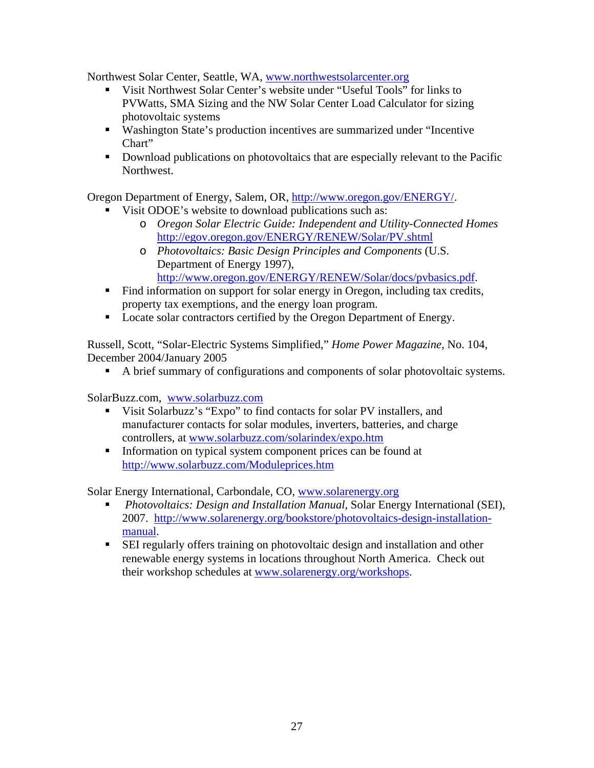Northwest Solar Center, Seattle, WA, [www.northwestsolarcenter.org](http://www.northwestsolarcenter.org/)

- Visit Northwest Solar Center's website under "Useful Tools" for links to PVWatts, SMA Sizing and the NW Solar Center Load Calculator for sizing photovoltaic systems
- Washington State's production incentives are summarized under "Incentive Chart"
- Download publications on photovoltaics that are especially relevant to the Pacific Northwest.

Oregon Department of Energy, Salem, OR, http://www.oregon.gov/ENERGY/.

- Visit ODOE's website to download publications such as:
	- o *Oregon Solar Electric Guide: Independent and Utility-Connected Homes* <http://egov.oregon.gov/ENERGY/RENEW/Solar/PV.shtml>
	- o *Photovoltaics: Basic Design Principles and Components* (U.S. Department of Energy 1997), [http://www.oregon.gov/ENERGY/RENEW/Solar/docs/pvbasics.pdf.](http://www.oregon.gov/ENERGY/RENEW/Solar/docs/pvbasics.pdf)
- Find information on support for solar energy in Oregon, including tax credits, property tax exemptions, and the energy loan program.
- Locate solar contractors certified by the Oregon Department of Energy.

Russell, Scott, "Solar-Electric Systems Simplified," *Home Power Magazine*, No. 104, December 2004/January 2005

A brief summary of configurations and components of solar photovoltaic systems.

SolarBuzz.com, [www.solarbuzz.com](http://www.solarbuzz.com/)

- Visit Solarbuzz's "Expo" to find contacts for solar PV installers, and manufacturer contacts for solar modules, inverters, batteries, and charge controllers, at [www.solarbuzz.com/solarindex/expo.htm](http://www.solarbuzz.com/solarindex/expo.htm)
- Information on typical system component prices can be found at <http://www.solarbuzz.com/Moduleprices.htm>

Solar Energy International, Carbondale, CO, [www.solarenergy.org](http://www.solarenergy.org/)

- *Photovoltaics: Design and Installation Manual,* Solar Energy International (SEI), 2007. [http://www.solarenergy.org/bookstore/photovoltaics-design-installation](http://www.solarenergy.org/bookstore/photovoltaics-design-installation-manual)[manual](http://www.solarenergy.org/bookstore/photovoltaics-design-installation-manual).
- SEI regularly offers training on photovoltaic design and installation and other renewable energy systems in locations throughout North America. Check out their workshop schedules at [www.solarenergy.org/workshops.](http://www.solarenergy.org/workshops)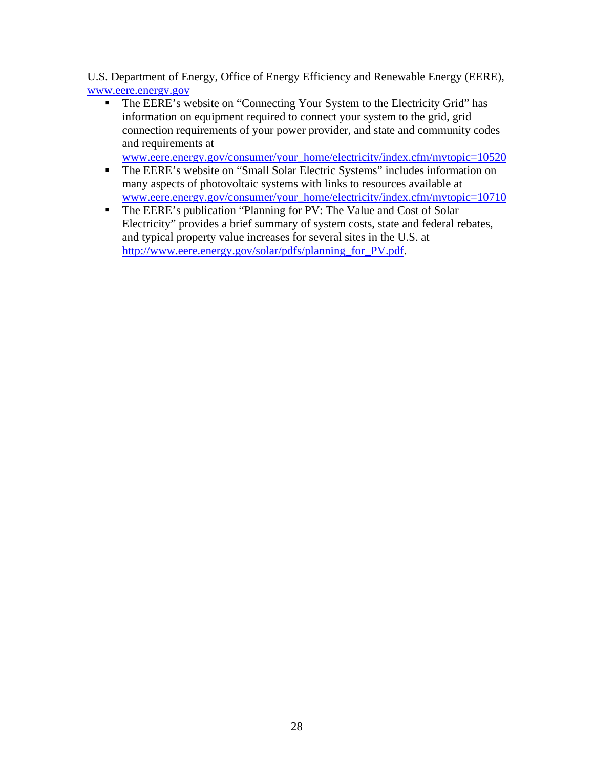U.S. Department of Energy, Office of Energy Efficiency and Renewable Energy (EERE), [www.eere.energy.gov](http://www.eere.energy.gov/)

• The EERE's website on "Connecting Your System to the Electricity Grid" has information on equipment required to connect your system to the grid, grid connection requirements of your power provider, and state and community codes and requirements at

[www.eere.energy.gov/consumer/your\\_home/electricity/index.cfm/mytopic=10520](http://www.eere.energy.gov/consumer/your_home/electricity/index.cfm/mytopic=10520)

- The EERE's website on "Small Solar Electric Systems" includes information on many aspects of photovoltaic systems with links to resources available at [www.eere.energy.gov/consumer/your\\_home/electricity/index.cfm/mytopic=10710](http://www.eere.energy.gov/consumer/your_home/electricity/index.cfm/mytopic=10710)
- The EERE's publication "Planning for PV: The Value and Cost of Solar Electricity" provides a brief summary of system costs, state and federal rebates, and typical property value increases for several sites in the U.S. at [http://www.eere.energy.gov/solar/pdfs/planning\\_for\\_PV.pdf.](http://www.eere.energy.gov/solar/pdfs/planning_for_PV.pdf)